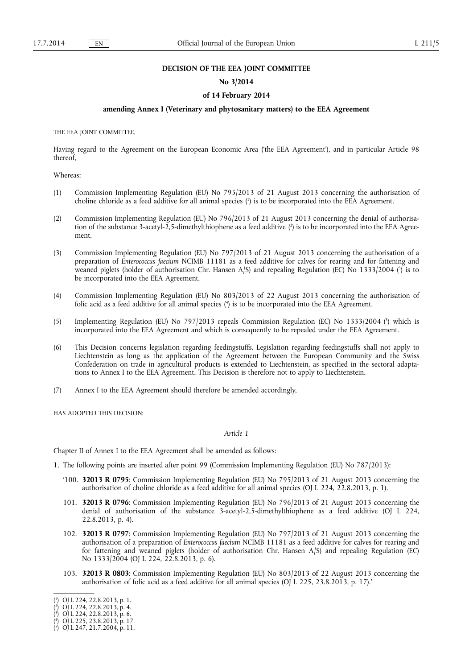## **DECISION OF THE EEA JOINT COMMITTEE**

#### **No 3/2014**

#### **of 14 February 2014**

## **amending Annex I (Veterinary and phytosanitary matters) to the EEA Agreement**

THE EEA JOINT COMMITTEE,

Having regard to the Agreement on the European Economic Area ('the EEA Agreement'), and in particular Article 98 thereof,

#### Whereas:

- (1) Commission Implementing Regulation (EU) No 795/2013 of 21 August 2013 concerning the authorisation of choline chloride as a feed additive for all animal species (<sup>1</sup>) is to be incorporated into the EEA Agreement.
- (2) Commission Implementing Regulation (EU) No 796/2013 of 21 August 2013 concerning the denial of authorisation of the substance 3-acetyl-2,5-dimethylthiophene as a feed additive (?) is to be incorporated into the EEA Agreement.
- (3) Commission Implementing Regulation (EU) No 797/2013 of 21 August 2013 concerning the authorisation of a preparation of *Enterococcus faecium* NCIMB 11181 as a feed additive for calves for rearing and for fattening and weaned piglets (holder of authorisation Chr. Hansen  $A/S$ ) and repealing Regulation (EC) No 1333/2004 ( $\}$ ) is to be incorporated into the EEA Agreement.
- (4) Commission Implementing Regulation (EU) No 803/2013 of 22 August 2013 concerning the authorisation of folic acid as a feed additive for all animal species ( $\uparrow$ ) is to be incorporated into the EEA Agreement.
- (5) Implementing Regulation (EU) No 797/2013 repeals Commission Regulation (EC) No 1333/2004 (5 ) which is incorporated into the EEA Agreement and which is consequently to be repealed under the EEA Agreement.
- (6) This Decision concerns legislation regarding feedingstuffs. Legislation regarding feedingstuffs shall not apply to Liechtenstein as long as the application of the Agreement between the European Community and the Swiss Confederation on trade in agricultural products is extended to Liechtenstein, as specified in the sectoral adaptations to Annex I to the EEA Agreement. This Decision is therefore not to apply to Liechtenstein.
- (7) Annex I to the EEA Agreement should therefore be amended accordingly,

HAS ADOPTED THIS DECISION:

## *Article 1*

Chapter II of Annex I to the EEA Agreement shall be amended as follows:

- 1. The following points are inserted after point 99 (Commission Implementing Regulation (EU) No 787/2013):
	- '100. **32013 R 0795**: Commission Implementing Regulation (EU) No 795/2013 of 21 August 2013 concerning the authorisation of choline chloride as a feed additive for all animal species (OJ L 224, 22.8.2013, p. 1).
	- 101. **32013 R 0796**: Commission Implementing Regulation (EU) No 796/2013 of 21 August 2013 concerning the denial of authorisation of the substance 3-acetyl-2,5-dimethylthiophene as a feed additive (OJ L 224, 22.8.2013, p. 4).
	- 102. **32013 R 0797**: Commission Implementing Regulation (EU) No 797/2013 of 21 August 2013 concerning the authorisation of a preparation of *Enterococcus faecium* NCIMB 11181 as a feed additive for calves for rearing and for fattening and weaned piglets (holder of authorisation Chr. Hansen A/S) and repealing Regulation (EC) No 1333/2004 (OJ L 224, 22.8.2013, p. 6).
	- 103. **32013 R 0803**: Commission Implementing Regulation (EU) No 803/2013 of 22 August 2013 concerning the authorisation of folic acid as a feed additive for all animal species (OJ L 225, 23.8.2013, p. 17).'

<sup>(</sup> 1 ) OJ L 224, 22.8.2013, p. 1.

<sup>(</sup> 2 ) OJ L 224, 22.8.2013, p. 4.

 $(3)$  OJ L 224, 22.8.2013, p. 6.

<sup>(</sup> 4 ) OJ L 225, 23.8.2013, p. 17.

<sup>(</sup> 5 ) OJ L 247, 21.7.2004, p. 11.